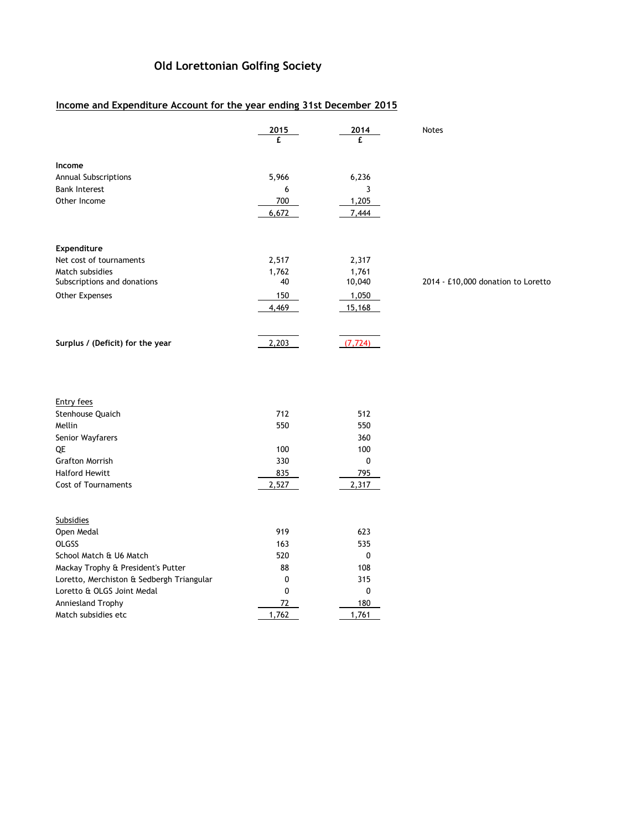## **Old Lorettonian Golfing Society**

## **Income and Expenditure Account for the year ending 31st December 2015**

Match subsidies etc 1,762 1,762 1,761

|                                           | 2015  | 2014      | Notes                              |
|-------------------------------------------|-------|-----------|------------------------------------|
|                                           | £     | £         |                                    |
| Income                                    |       |           |                                    |
| Annual Subscriptions                      | 5,966 | 6,236     |                                    |
| <b>Bank Interest</b>                      | 6     | 3         |                                    |
| Other Income                              | 700   | 1,205     |                                    |
|                                           | 6,672 | 7,444     |                                    |
| Expenditure                               |       |           |                                    |
| Net cost of tournaments                   | 2,517 | 2,317     |                                    |
| Match subsidies                           | 1,762 | 1,761     |                                    |
| Subscriptions and donations               | 40    | 10,040    | 2014 - £10,000 donation to Loretto |
| Other Expenses                            | 150   | 1,050     |                                    |
|                                           | 4,469 | 15,168    |                                    |
|                                           |       |           |                                    |
| Surplus / (Deficit) for the year          | 2,203 | (7, 724)  |                                    |
|                                           |       |           |                                    |
|                                           |       |           |                                    |
| <b>Entry fees</b>                         |       |           |                                    |
| Stenhouse Quaich                          | 712   | 512       |                                    |
| Mellin                                    | 550   | 550       |                                    |
| Senior Wayfarers                          |       | 360       |                                    |
| QE                                        | 100   | 100       |                                    |
| <b>Grafton Morrish</b>                    | 330   | 0         |                                    |
| <b>Halford Hewitt</b>                     | 835   | 795       |                                    |
| Cost of Tournaments                       | 2,527 | 2,317     |                                    |
| <b>Subsidies</b>                          |       |           |                                    |
| Open Medal                                | 919   | 623       |                                    |
| OLGSS                                     | 163   | 535       |                                    |
| School Match & U6 Match                   | 520   | $\pmb{0}$ |                                    |
| Mackay Trophy & President's Putter        | 88    | 108       |                                    |
| Loretto, Merchiston & Sedbergh Triangular | 0     | 315       |                                    |
| Loretto & OLGS Joint Medal                | 0     | 0         |                                    |
| Anniesland Trophy                         | 72    | 180       |                                    |